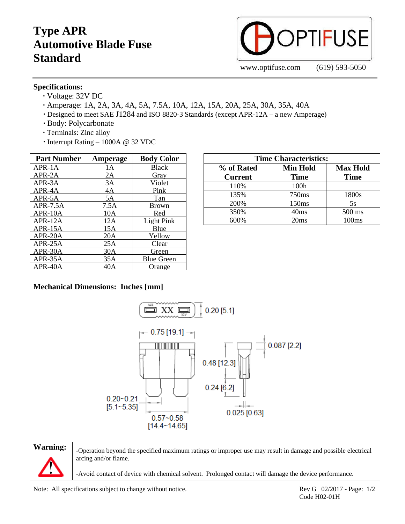## **Type APR Automotive Blade Fuse Standard**



www.optifuse.com (619) 593-5050

## **Specifications:**

- **∙** Voltage: 32V DC
- **∙** Amperage: 1A, 2A, 3A, 4A, 5A, 7.5A, 10A, 12A, 15A, 20A, 25A, 30A, 35A, 40A
- **∙** Designed to meet SAE J1284 and ISO 8820-3 Standards (except APR-12A a new Amperage)
- **∙** Body: Polycarbonate
- **∙** Terminals: Zinc alloy
- **∙** Interrupt Rating 1000A @ 32 VDC

| <b>Part Number</b> | Amperage | <b>Body Color</b> |
|--------------------|----------|-------------------|
| APR-1A             | 1Α       | Black             |
| APR-2A             | 2A       | Grav              |
| APR-3A             | 3A       | Violet            |
| APR-4A             | 4A       | Pink              |
| APR-5A             | 5A       | Tan               |
| APR-7.5A           | 7.5A     | Brown             |
| APR-10A            | 10A      | Red               |
| APR-12A            | 12A      | Light Pink        |
| $APR-15A$          | 15A      | Blue              |
| APR-20A            | 20A      | Yellow            |
| APR-25A            | 25 A     | Clear             |
| APR-30A            | 30A      | Green             |
| APR-35A            | 35A      | <b>Blue Green</b> |
| APR-40A            | 40A      | Orange            |

| <b>Time Characteristics:</b> |                   |                 |
|------------------------------|-------------------|-----------------|
| % of Rated                   | <b>Min Hold</b>   | <b>Max Hold</b> |
| <b>Current</b>               | <b>Time</b>       | <b>Time</b>     |
| 110%                         | 100h              |                 |
| 135%                         | 750 <sub>ms</sub> | 1800s           |
| 200%                         | 150ms             | 5s              |
| 350%                         | 40 <sub>ms</sub>  | 500 ms          |
| 600%                         | 20ms              | 100ms           |

## **Mechanical Dimensions: Inches [mm]**



**Warning:** 

-Operation beyond the specified maximum ratings or improper use may result in damage and possible electrical arcing and/or flame.

-Avoid contact of device with chemical solvent. Prolonged contact will damage the device performance.